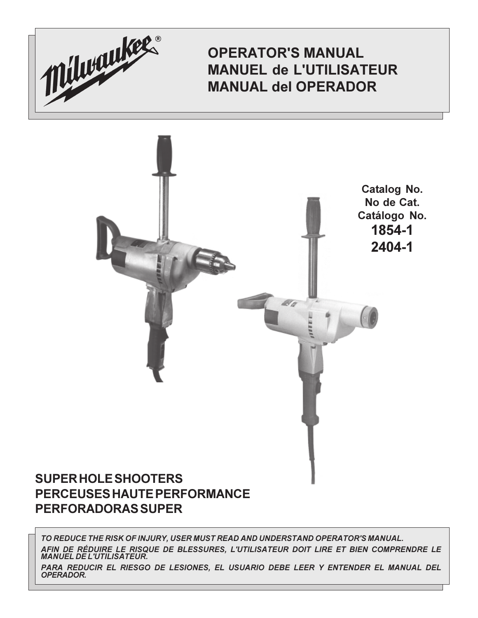

**OPERATOR'S MANUAL MANUEL de L'UTILISATEUR MANUAL del OPERADOR** 



# PERCEUSES HAUTE PERFORMANCE **PERFORADORAS SUPER**

TO REDUCE THE RISK OF INJURY, USER MUST READ AND UNDERSTAND OPERATOR'S MANUAL. AFIN DE RÉDUIRE LE RISQUE DE BLESSURES, L'UTILISATEUR DOIT LIRE ET BIEN COMPRENDRE LE **MANUEL DE L'UTILISATEUR.** PARA REDUCIR EL RIESGO DE LESIONES, EL USUARIO DEBE LEER Y ENTENDER EL MANUAL DEL **OPERADOR.**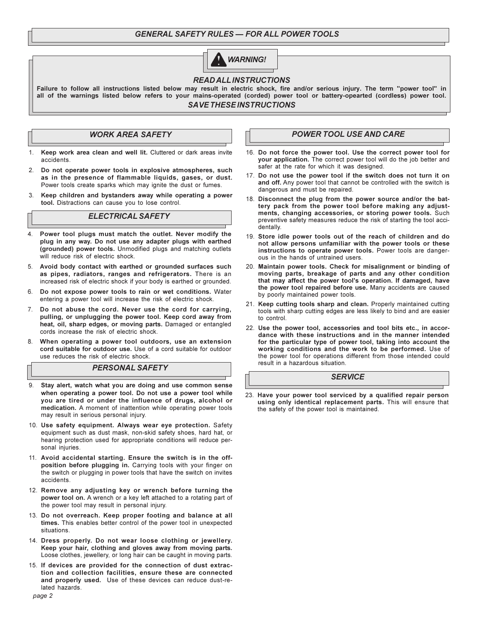# **GENERAL SAFETY RULES - FOR ALL POWER TOOLS**



## **READ ALL INSTRUCTIONS**

Failure to follow all instructions listed below may result in electric shock, fire and/or serious injury. The term "power tool" in all of the warnings listed below refers to your mains-operated (corded) power tool or battery-opearted (cordless) power tool. **SAVE THESE INSTRUCTIONS** 

# **WORK AREA SAFETY**

- Keep work area clean and well lit. Cluttered or dark areas invite  $1<sup>1</sup>$ accidents
- Do not operate power tools in explosive atmospheres, such  $\mathcal{P}$ as in the presence of flammable liquids, gases, or dust. Power tools create sparks which may ignite the dust or fumes.
- 3. Keep children and bystanders away while operating a power tool. Distractions can cause you to lose control.

#### **ELECTRICAL SAFETY**

- Power tool plugs must match the outlet. Never modify the plug in any way. Do not use any adapter plugs with earthed (grounded) power tools. Unmodified plugs and matching outlets will reduce risk of electric shock.
- 5. Avoid body contact with earthed or grounded surfaces such as pipes, radiators, ranges and refrigerators. There is an increased risk of electric shock if your body is earthed or grounded.
- 6. Do not expose power tools to rain or wet conditions. Water entering a power tool will increase the risk of electric shock.
- 7. Do not abuse the cord. Never use the cord for carrying, pulling, or unplugging the power tool. Keep cord away from heat, oil, sharp edges, or moving parts. Damaged or entangled cords increase the risk of electric shock.
- When operating a power tool outdoors, use an extension cord suitable for outdoor use. Use of a cord suitable for outdoor use reduces the risk of electric shock

#### **PERSONAL SAFETY**

- 9 Stay alert, watch what you are doing and use common sense when operating a power tool. Do not use a power tool while you are tired or under the influence of drugs, alcohol or medication. A moment of inattention while operating power tools may result in serious personal injury.
- 10. Use safety equipment. Always wear eye protection. Safety equipment such as dust mask, non-skid safety shoes, hard hat, or hearing protection used for appropriate conditions will reduce personal injuries.
- 11. Avoid accidental starting. Ensure the switch is in the offposition before plugging in. Carrying tools with your finger on the switch or plugging in power tools that have the switch on invites accidents
- 12. Remove any adjusting key or wrench before turning the power tool on. A wrench or a key left attached to a rotating part of the power tool may result in personal injury.
- 13. Do not overreach. Keep proper footing and balance at all times. This enables better control of the power tool in unexpected situations.
- 14. Dress properly. Do not wear loose clothing or jewellery. Keep your hair, clothing and gloves away from moving parts. Loose clothes, jewellery, or long hair can be caught in moving parts.
- 15. If devices are provided for the connection of dust extraction and collection facilities, ensure these are connected and properly used. Use of these devices can reduce dust-related hazards

## **POWER TOOL USE AND CARE**

- 16. Do not force the power tool. Use the correct power tool for your application. The correct power tool will do the job better and safer at the rate for which it was designed.
- 17. Do not use the power tool if the switch does not turn it on and off. Any power tool that cannot be controlled with the switch is dangerous and must be repaired.
- 18. Disconnect the plug from the power source and/or the battery pack from the power tool before making any adjustments, changing accessories, or storing power tools. Such preventive safety measures reduce the risk of starting the tool accidentally.
- 19. Store idle power tools out of the reach of children and do not allow persons unfamiliar with the power tools or these instructions to operate power tools. Power tools are dangerous in the hands of untrained users.
- 20. Maintain power tools. Check for misalignment or binding of moving parts, breakage of parts and any other condition that may affect the power tool's operation. If damaged, have the power tool repaired before use. Many accidents are caused by poorly maintained power tools.
- 21. Keep cutting tools sharp and clean. Properly maintained cutting tools with sharp cutting edges are less likely to bind and are easier to control
- 22. Use the power tool, accessories and tool bits etc., in accordance with these instructions and in the manner intended for the particular type of power tool, taking into account the working conditions and the work to be performed. Use of the power tool for operations different from those intended could result in a hazardous situation.

## **SERVICE**

23. Have your power tool serviced by a qualified repair person using only identical replacement parts. This will ensure that the safety of the power tool is maintained.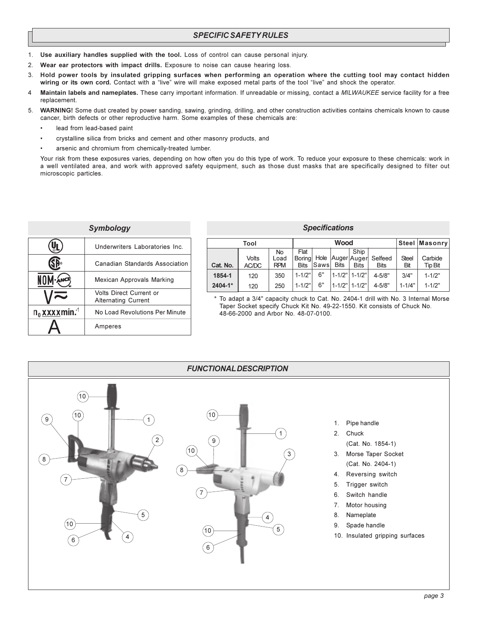- $1.$ Use auxiliary handles supplied with the tool. Loss of control can cause personal injury.
- Wear ear protectors with impact drills. Exposure to noise can cause hearing loss. 2.
- Hold power tools by insulated gripping surfaces when performing an operation where the cutting tool may contact hidden 3 wiring or its own cord. Contact with a "live" wire will make exposed metal parts of the tool "live" and shock the operator.
- 4 Maintain labels and nameplates. These carry important information. If unreadable or missing, contact a MILWAUKEE service facility for a free replacement.
- 5. WARNING! Some dust created by power sanding, sawing, grinding, drilling, and other construction activities contains chemicals known to cause cancer, birth defects or other reproductive harm. Some examples of these chemicals are:
	- lead from lead-based paint
	- crystalline silica from bricks and cement and other masonry products, and
	- arsenic and chromium from chemically-treated lumber.

Your risk from these exposures varies, depending on how often you do this type of work. To reduce your exposure to these chemicals: work in a well ventilated area, and work with approved safety equipment, such as those dust masks that are specifically designed to filter out microscopic particles.

| Symbology                        |                                                              |  |  |  |  |  |  |
|----------------------------------|--------------------------------------------------------------|--|--|--|--|--|--|
|                                  | Underwriters Laboratories Inc.                               |  |  |  |  |  |  |
|                                  | Canadian Standards Association                               |  |  |  |  |  |  |
| NOM ANCE                         | Mexican Approvals Marking                                    |  |  |  |  |  |  |
|                                  | <b>Volts Direct Current or</b><br><b>Alternating Current</b> |  |  |  |  |  |  |
| $n_0$ x x x x min. <sup>-1</sup> | No Load Revolutions Per Minute                               |  |  |  |  |  |  |
|                                  | Amperes                                                      |  |  |  |  |  |  |

#### **Specifications**

|          | Tool           | Wood                     |                                |             |             |                                             |                        | Steel Masonry       |                           |
|----------|----------------|--------------------------|--------------------------------|-------------|-------------|---------------------------------------------|------------------------|---------------------|---------------------------|
| Cat. No. | Volts<br>AC/DC | No<br>Load<br><b>RPM</b> | Flat<br>Borinal<br><b>Bits</b> | <b>Saws</b> | <b>Bits</b> | Ship<br>Hole   Auger  Auger <br><b>Bits</b> | Selfeed<br><b>Bits</b> | <b>Steel</b><br>Bit | Carbide<br><b>Tip Bit</b> |
| 1854-1   | 120            | 350                      | $1 - 1/2"$                     | 6"          |             | 1-1/2" 1-1/2"                               | $4 - 5/8"$             | 3/4"                | $1 - 1/2"$                |
| 2404-1*  | 120            | 250                      | $1 - 1/2"$                     | 6"          |             | $1 - 1/2" 1 - 1/2"$                         | $4 - 5/8"$             | $1 - 1/4"$          | $1 - 1/2"$                |

\* To adapt a 3/4" capacity chuck to Cat. No. 2404-1 drill with No. 3 Internal Morse Taper Socket specify Chuck Kit No. 49-22-1550. Kit consists of Chuck No. 48-66-2000 and Arbor No. 48-07-0100.

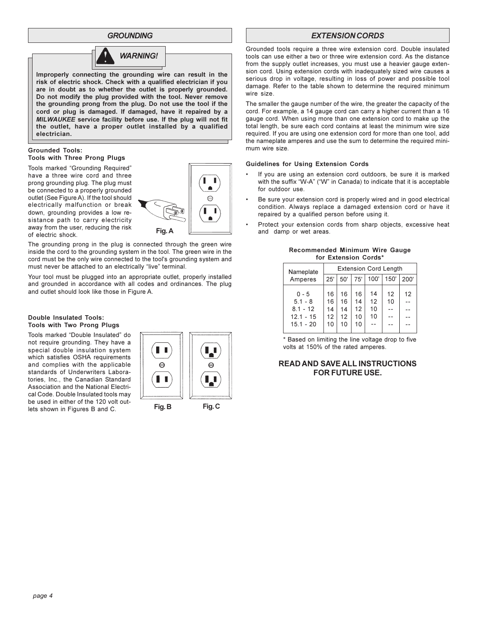#### **GROUNDING**



Improperly connecting the grounding wire can result in the risk of electric shock. Check with a qualified electrician if you are in doubt as to whether the outlet is properly grounded. Do not modify the plug provided with the tool. Never remove the grounding prong from the plug. Do not use the tool if the cord or plug is damaged. If damaged, have it repaired by a MILWAUKEE service facility before use. If the plug will not fit the outlet, have a proper outlet installed by a qualified electrician.

#### **Grounded Tools: Tools with Three Prong Plugs**

Tools marked "Grounding Required" have a three wire cord and three prong grounding plug. The plug must be connected to a properly grounded outlet (See Figure A). If the tool should electrically malfunction or break down, grounding provides a low resistance path to carry electricity away from the user, reducing the risk of electric shock.



The grounding prong in the plug is connected through the green wire inside the cord to the grounding system in the tool. The green wire in the cord must be the only wire connected to the tool's grounding system and must never be attached to an electrically "live" terminal.

Your tool must be plugged into an appropriate outlet, properly installed and grounded in accordance with all codes and ordinances. The plug and outlet should look like those in Figure A.

#### Double Insulated Tools: Tools with Two Prong Plugs

Tools marked "Double Insulated" do not require grounding. They have a special double insulation system which satisfies OSHA requirements and complies with the applicable standards of Underwriters Laboratories. Inc., the Canadian Standard Association and the National Electrical Code, Double Insulated tools may be used in either of the 120 volt outlets shown in Figures B and C.



Fig.C

Fig. B

## **EXTENSION CORDS**

Grounded tools require a three wire extension cord. Double insulated tools can use either a two or three wire extension cord. As the distance from the supply outlet increases, you must use a heavier gauge extension cord. Using extension cords with inadequately sized wire causes a serious drop in voltage, resulting in loss of power and possible tool damage. Refer to the table shown to determine the required minimum wire size.

The smaller the gauge number of the wire, the greater the capacity of the cord. For example, a 14 gauge cord can carry a higher current than a 16 gauge cord. When using more than one extension cord to make up the total length, be sure each cord contains at least the minimum wire size required. If you are using one extension cord for more than one tool, add the nameplate amperes and use the sum to determine the required minimum wire size.

#### **Guidelines for Using Extension Cords**

- If you are using an extension cord outdoors, be sure it is marked with the suffix "W-A" ("W" in Canada) to indicate that it is acceptable for outdoor use.
- Be sure your extension cord is properly wired and in good electrical condition. Always replace a damaged extension cord or have it repaired by a qualified person before using it.
- Protect your extension cords from sharp objects, excessive heat and damp or wet areas.

Recommended Minimum Wire Gauge

| IOF EXIGIISION COFUS |                              |          |          |          |          |      |  |  |  |  |  |
|----------------------|------------------------------|----------|----------|----------|----------|------|--|--|--|--|--|
| Nameplate            | <b>Extension Cord Length</b> |          |          |          |          |      |  |  |  |  |  |
| Amperes              | 25'                          | 50'      | 75'      | 100'     | 150'     | 200' |  |  |  |  |  |
| $0 - 5$<br>$5.1 - 8$ | 16<br>16                     | 16<br>16 | 16<br>14 | 14<br>12 | 12<br>10 | 12   |  |  |  |  |  |
| $8.1 - 12$           | 14                           | 14       | 12       | 10       |          |      |  |  |  |  |  |
| $12.1 - 15$          | 12                           | 12       | 10       | 10       |          |      |  |  |  |  |  |
| $15.1 - 20$          | 10                           | 10       | 10       | ۵.       |          |      |  |  |  |  |  |

\* Based on limiting the line voltage drop to five volts at 150% of the rated amperes.

## **READ AND SAVE ALL INSTRUCTIONS FOR FUTURE USE.**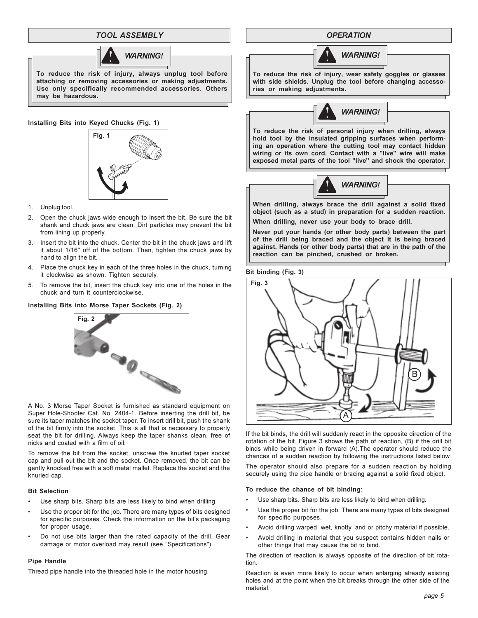## **TOOL ASSEMBLY**



To reduce the risk of injury, always unplug tool before attaching or removing accessories or making adjustments. Use only specifically recommended accessories. Others may be hazardous.

#### Installing Bits into Keyed Chucks (Fig. 1)



- 1. Unplug tool.
- 2. Open the chuck jaws wide enough to insert the bit. Be sure the bit shank and chuck jaws are clean. Dirt particles may prevent the bit from lining up properly.
- 3. Insert the bit into the chuck. Center the bit in the chuck jaws and lift it about 1/16" off of the bottom. Then, tighten the chuck jaws by hand to align the bit.
- 4. Place the chuck key in each of the three holes in the chuck, turning it clockwise as shown. Tighten securely.
- To remove the bit, insert the chuck key into one of the holes in the  $5<sup>5</sup>$ chuck and turn it counterclockwise.

#### Installing Bits into Morse Taper Sockets (Fig. 2)



A No. 3 Morse Taper Socket is furnished as standard equipment on Super Hole-Shooter Cat. No. 2404-1. Before inserting the drill bit, be sure its taper matches the socket taper. To insert drill bit, push the shank of the bit firmly into the socket. This is all that is necessary to properly seat the bit for drilling. Always keep the taper shanks clean, free of nicks and coated with a film of oil.

To remove the bit from the socket, unscrew the knurled taper socket cap and pull out the bit and the socket. Once removed, the bit can be gently knocked free with a soft metal mallet. Replace the socket and the knurled cap.

#### **Bit Selection**

- Use sharp bits. Sharp bits are less likely to bind when drilling.
- Use the proper bit for the job. There are many types of bits designed for specific purposes. Check the information on the bit's packaging for proper usage.
- Do not use bits larger than the rated capacity of the drill. Gear damage or motor overload may result (see "Specifications").

#### **Pipe Handle**

Thread pipe handle into the threaded hole in the motor housing.

**OPERATION** 



To reduce the risk of injury, wear safety goggles or glasses with side shields. Unplug the tool before changing accessories or making adjustments.



To reduce the risk of personal injury when drilling, always hold tool by the insulated gripping surfaces when performing an operation where the cutting tool may contact hidden wiring or its own cord. Contact with a "live" wire will make exposed metal parts of the tool "live" and shock the operator.



When drilling, always brace the drill against a solid fixed object (such as a stud) in preparation for a sudden reaction.

When drilling, never use your body to brace drill.

Never put your hands (or other body parts) between the part of the drill being braced and the object it is being braced against. Hands (or other body parts) that are in the path of the reaction can be pinched, crushed or broken.

#### Bit binding (Fig. 3)



If the bit binds, the drill will suddenly react in the opposite direction of the rotation of the bit. Figure 3 shows the path of reaction, (B) if the drill bit binds while being driven in forward (A). The operator should reduce the chances of a sudden reaction by following the instructions listed below.

The operator should also prepare for a sudden reaction by holding securely using the pipe handle or bracing against a solid fixed object.

#### To reduce the chance of bit binding:

- Use sharp bits. Sharp bits are less likely to bind when drilling.
- Use the proper bit for the job. There are many types of bits designed for specific purposes.
- Avoid drilling warped, wet, knotty, and or pitchy material if possible.
- Avoid drilling in material that you suspect contains hidden nails or other things that may cause the bit to bind.

The direction of reaction is always opposite of the direction of bit rotation.

Reaction is even more likely to occur when enlarging already existing holes and at the point when the bit breaks through the other side of the material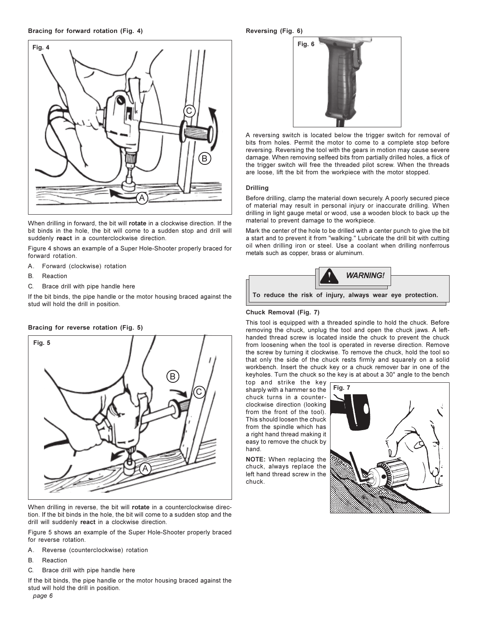

When drilling in forward, the bit will rotate in a clockwise direction. If the bit binds in the hole, the bit will come to a sudden stop and drill will suddenly react in a counterclockwise direction.

Figure 4 shows an example of a Super Hole-Shooter properly braced for forward rotation.

- Forward (clockwise) rotation  $\mathsf{A}$
- $B.$ Reaction
- $\mathsf{C}$ Brace drill with pipe handle here

Bracing for reverse rotation (Fig. 5)

If the bit binds, the pipe handle or the motor housing braced against the stud will hold the drill in position.

# **Fig. 5**



When drilling in reverse, the bit will rotate in a counterclockwise direction. If the bit binds in the hole, the bit will come to a sudden stop and the drill will suddenly react in a clockwise direction.

Figure 5 shows an example of the Super Hole-Shooter properly braced for reverse rotation.

- Reverse (counterclockwise) rotation Α.
- Reaction <sub>B</sub>
- C. Brace drill with pipe handle here

If the bit binds, the pipe handle or the motor housing braced against the stud will hold the drill in position. page 6

#### Reversing (Fig. 6)



A reversing switch is located below the trigger switch for removal of bits from holes. Permit the motor to come to a complete stop before reversing. Reversing the tool with the gears in motion may cause severe damage. When removing selfeed bits from partially drilled holes, a flick of the trigger switch will free the threaded pilot screw. When the threads are loose, lift the bit from the workpiece with the motor stopped.

#### **Drilling**

Before drilling, clamp the material down securely. A poorly secured piece of material may result in personal injury or inaccurate drilling. When drilling in light gauge metal or wood, use a wooden block to back up the material to prevent damage to the workpiece.

Mark the center of the hole to be drilled with a center punch to give the bit a start and to prevent it from "walking." Lubricate the drill bit with cutting oil when drilling iron or steel. Use a coolant when drilling nonferrous metals such as copper, brass or aluminum.



#### Chuck Removal (Fig. 7)

This tool is equipped with a threaded spindle to hold the chuck. Before removing the chuck, unplug the tool and open the chuck jaws. A lefthanded thread screw is located inside the chuck to prevent the chuck from loosening when the tool is operated in reverse direction. Remove the screw by turning it clockwise. To remove the chuck, hold the tool so that only the side of the chuck rests firmly and squarely on a solid workbench. Insert the chuck key or a chuck remover bar in one of the keyholes. Turn the chuck so the key is at about a 30° angle to the bench

top and strike the key sharply with a hammer so the chuck turns in a counterclockwise direction (looking from the front of the tool). This should loosen the chuck from the spindle which has a right hand thread making it easy to remove the chuck by hand

NOTE: When replacing the chuck, always replace the left hand thread screw in the chuck.

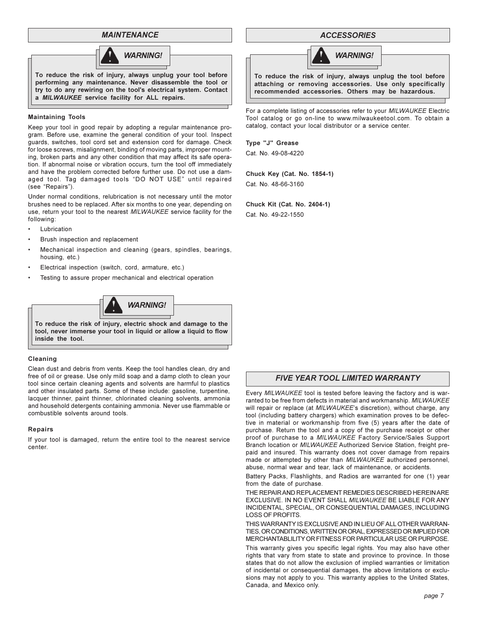## **MAINTENANCE**



performing any maintenance. Never disassemble the tool or try to do any rewiring on the tool's electrical system. Contact a MILWAUKEE service facility for ALL repairs.

#### **Maintaining Tools**

Keep your tool in good repair by adopting a regular maintenance program. Before use, examine the general condition of your tool. Inspect guards, switches, tool cord set and extension cord for damage. Check for loose screws, misalignment, binding of moving parts, improper mounting, broken parts and any other condition that may affect its safe operation. If abnormal noise or vibration occurs, turn the tool off immediately and have the problem corrected before further use. Do not use a damaged tool. Tag damaged tools "DO NOT USE" until repaired (see "Repairs").

Under normal conditions, relubrication is not necessary until the motor brushes need to be replaced. After six months to one year, depending on use, return your tool to the nearest MILWAUKEE service facility for the following:

- Lubrication
- Brush inspection and replacement
- Mechanical inspection and cleaning (gears, spindles, bearings, housing, etc.)
- Electrical inspection (switch, cord, armature, etc.)
- Testing to assure proper mechanical and electrical operation



To reduce the risk of injury, electric shock and damage to the tool, never immerse your tool in liquid or allow a liquid to flow inside the tool.

#### Cleaning

Clean dust and debris from vents. Keep the tool handles clean, dry and free of oil or grease. Use only mild soap and a damp cloth to clean your tool since certain cleaning agents and solvents are harmful to plastics and other insulated parts. Some of these include: gasoline, turpentine, lacquer thinner, paint thinner, chlorinated cleaning solvents, ammonia and household detergents containing ammonia. Never use flammable or combustible solvents around tools.

#### **Repairs**

If your tool is damaged, return the entire tool to the nearest service center.

#### **ACCESSORIES**



To reduce the risk of injury, always unplug the tool before attaching or removing accessories. Use only specifically recommended accessories. Others may be hazardous.

For a complete listing of accessories refer to your MILWAUKEE Electric Tool catalog or go on-line to www.milwaukeetool.com. To obtain a catalog, contact your local distributor or a service center.

Type "J" Grease

Cat. No. 49-08-4220

Chuck Key (Cat. No. 1854-1) Cat. No. 48-66-3160

Chuck Kit (Cat. No. 2404-1) Cat. No. 49-22-1550

#### **FIVE YEAR TOOL LIMITED WARRANTY**

Every MILWAUKEE tool is tested before leaving the factory and is warranted to be free from defects in material and workmanship. MILWAUKEE will repair or replace (at MILWAUKEE's discretion), without charge, any tool (including battery chargers) which examination proves to be defective in material or workmanship from five (5) years after the date of purchase. Return the tool and a copy of the purchase receipt or other proof of purchase to a MILWAUKEE Factory Service/Sales Support Branch location or MILWAUKEE Authorized Service Station, freight prepaid and insured. This warranty does not cover damage from repairs made or attempted by other than MILWAUKEE authorized personnel, abuse, normal wear and tear, lack of maintenance, or accidents.

Battery Packs, Flashlights, and Radios are warranted for one (1) year from the date of purchase.

THE REPAIR AND REPLACEMENT REMEDIES DESCRIBED HEREIN ARE EXCLUSIVE. IN NO EVENT SHALL MILWAUKEE BE LIABLE FOR ANY INCIDENTAL, SPECIAL, OR CONSEQUENTIAL DAMAGES, INCLUDING LOSS OF PROFITS.

THIS WARRANTY IS EXCLUSIVE AND IN LIEU OF ALL OTHER WARRAN-TIES, OR CONDITIONS, WRITTEN OR ORAL, EXPRESSED OR IMPLIED FOR MERCHANTABLILITY OR FITNESS FOR PARTICULAR USE OR PURPOSE.

This warranty gives you specific legal rights. You may also have other rights that vary from state to state and province to province. In those states that do not allow the exclusion of implied warranties or limitation of incidental or consequential damages, the above limitations or exclusions may not apply to you. This warranty applies to the United States, Canada, and Mexico only.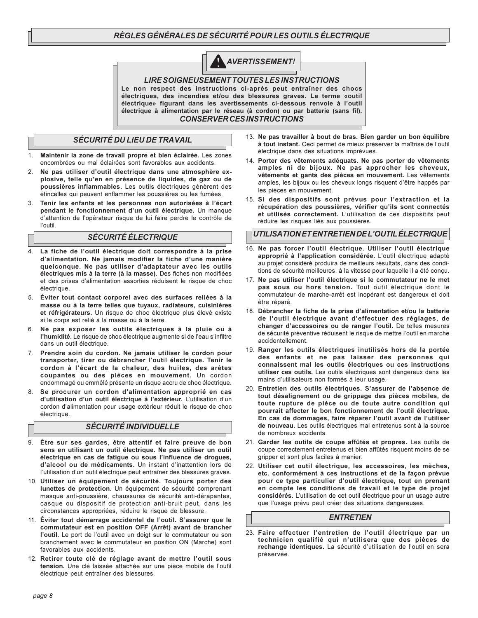# RÈGLES GÉNÉRALES DE SÉCURITÉ POUR LES OUTILS ÉLECTRIQUE



**LIRE SOIGNEUSEMENT TOUTES LES INSTRUCTIONS** Le non respect des instructions ci-après peut entraîner des chocs électriques, des incendies et/ou des blessures graves. Le terme «outil électrique» figurant dans les avertissements ci-dessous renvoie à l'outil électrique à alimentation par le réseau (à cordon) ou par batterie (sans fil). **CONSERVER CESINSTRUCTIONS** 

# SÉCURITÉ DU LIEU DE TRAVAIL

- Maintenir la zone de travail propre et bien éclairée. Les zones 1. encombrées ou mal éclairées sont favorables aux accidents.
- $\mathcal{P}$ Ne pas utiliser d'outil électrique dans une atmosphère explosive, telle qu'en en présence de liquides, de gaz ou de poussières inflammables. Les outils électriques génèrent des étincelles qui peuvent enflammer les poussières ou les fumées.
- 3. Tenir les enfants et les personnes non autorisées à l'écart pendant le fonctionnement d'un outil électrique. Un manque d'attention de l'opérateur risque de lui faire perdre le contrôle de l'outil

## *SÉCURITÉ ÉLECTRIQUE*

- La fiche de l'outil électrique doit correspondre à la prise 4 d'alimentation. Ne jamais modifier la fiche d'une manière quelconque. Ne pas utiliser d'adaptateur avec les outils électriques mis à la terre (à la masse). Des fiches non modifiées et des prises d'alimentation assorties réduisent le risque de choc électrique.
- 5. Éviter tout contact corporel avec des surfaces reliées à la masse ou à la terre telles que tuyaux, radiateurs, cuisinières et réfrigérateurs. Un risque de choc électrique plus élevé existe si le corps est relié à la masse ou à la terre.
- 6. Ne pas exposer les outils électriques à la pluie ou à l'humidité. Le risque de choc électrique augmente si de l'eau s'infiltre dans un outil électrique.
- $7^{\circ}$ Prendre soin du cordon. Ne jamais utiliser le cordon pour transporter, tirer ou débrancher l'outil électrique. Tenir le cordon à l'écart de la chaleur, des huiles, des arêtes coupantes ou des pièces en mouvement. Un cordon endommagé ou emmêlé présente un risque accru de choc électrique.
- Se procurer un cordon d'alimentation approprié en cas 8 d'utilisation d'un outil électrique à l'extérieur. L'utilisation d'un cordon d'alimentation pour usage extérieur réduit le risque de choc électrique.

## **SÉCURITÉ INDIVIDUELLE**

- Être sur ses gardes, être attentif et faire preuve de bon sens en utilisant un outil électrique. Ne pas utiliser un outil électrique en cas de fatique ou sous l'influence de droques, d'alcool ou de médicaments. Un instant d'inattention lors de l'utilisation d'un outil électrique peut entraîner des blessures graves.
- 10. Utiliser un équipement de sécurité. Toujours porter des lunettes de protection. Un équipement de sécurité comprenant masque anti-poussière, chaussures de sécurité anti-dérapantes, casque ou dispositif de protection anti-bruit peut, dans les circonstances appropriées, réduire le risque de blessure.
- 11. Éviter tout démarrage accidentel de l'outil. S'assurer que le commutateur est en position OFF (Arrêt) avant de brancher l'outil. Le port de l'outil avec un doigt sur le commutateur ou son branchement avec le commutateur en position ON (Marche) sont favorables aux accidents.
- 12. Retirer toute clé de réglage avant de mettre l'outil sous tension. Une clé laissée attachée sur une pièce mobile de l'outil électrique peut entraîner des blessures.
- 13. Ne pas travailler à bout de bras. Bien garder un bon équilibre à tout instant. Ceci permet de mieux préserver la maîtrise de l'outil électrique dans des situations imprévues.
- 14. Porter des vêtements adéquats. Ne pas porter de vêtements amples ni de bijoux. Ne pas approcher les cheveux, vêtements et gants des pièces en mouvement. Les vêtements amples, les bijoux ou les cheveux longs risquent d'être happés par les pièces en mouvement.
- 15. Si des dispositifs sont prévus pour l'extraction et la récupération des poussières, vérifier qu'ils sont connectés et utilisés correctement. L'utilisation de ces dispositifs peut réduire les risques liés aux poussières.

# UTILISATION ET ENTRETIEN DE L'OUTIL ÉLECTRIQUE

- 16. Ne pas forcer l'outil électrique. Utiliser l'outil électrique approprié à l'application considérée. L'outil électrique adapté au projet considéré produira de meilleurs résultats, dans des conditions de sécurité meilleures, à la vitesse pour laquelle il a été conçu.
- 17. Ne pas utiliser l'outil électrique si le commutateur ne le met pas sous ou hors tension. Tout outil électrique dont le commutateur de marche-arrêt est inopérant est dangereux et doit être réparé.
- 18. Débrancher la fiche de la prise d'alimentation et/ou la batterie de l'outil électrique avant d'effectuer des réglages, de changer d'accessoires ou de ranger l'outil. De telles mesures de sécurité préventive réduisent le risque de mettre l'outil en marche accidentellement.
- 19. Ranger les outils électriques inutilisés hors de la portée des enfants et ne pas laisser des personnes qui connaissent mal les outils électriques ou ces instructions utiliser ces outils. Les outils électriques sont dangereux dans les mains d'utilisateurs non formés à leur usage.
- 20. Entretien des outils électriques. S'assurer de l'absence de tout désalignement ou de grippage des pièces mobiles, de toute rupture de pièce ou de toute autre condition qui pourrait affecter le bon fonctionnement de l'outil électrique. En cas de dommages, faire réparer l'outil avant de l'utiliser de nouveau. Les outils électriques mal entretenus sont à la source de nombreux accidents
- 21. Garder les outils de coupe affûtés et propres. Les outils de coupe correctement entretenus et bien affûtés risquent moins de se gripper et sont plus faciles à manier.
- 22. Utiliser cet outil électrique, les accessoires, les mèches, etc. conformément à ces instructions et de la façon prévue pour ce type particulier d'outil électrique, tout en prenant en compte les conditions de travail et le type de projet considérés. L'utilisation de cet outil électrique pour un usage autre que l'usage prévu peut créer des situations dangereuses.

#### **ENTRETIEN**

23. Faire effectuer l'entretien de l'outil électrique par un technicien qualifié qui n'utilisera que des pièces de rechange identiques. La sécurité d'utilisation de l'outil en sera préservée.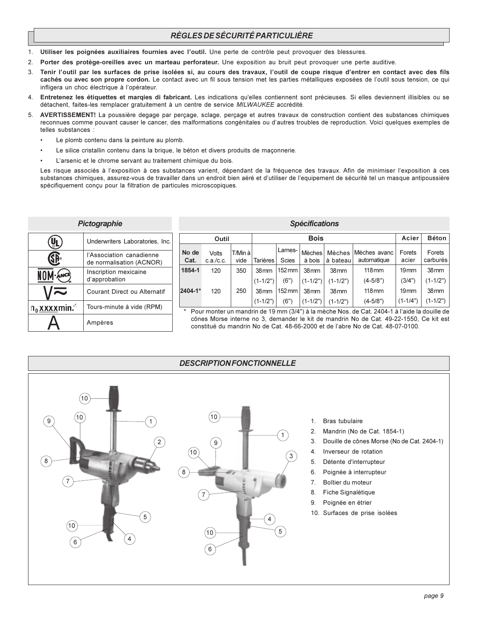# RÈGLES DE SÉCURITÉ PARTICULIÈRE

- Utiliser les poignées auxiliaires fournies avec l'outil. Une perte de contrôle peut provoquer des blessures.  $1.$
- Porter des protège-oreilles avec un marteau perforateur. Une exposition au bruit peut provoquer une perte auditive.  $2.$
- Tenir l'outil par les surfaces de prise isolées si, au cours des travaux, l'outil de coupe risque d'entrer en contact avec des fils  $\mathcal{R}$ cachés ou avec son propre cordon. Le contact avec un fil sous tension met les parties métalliques exposées de l'outil sous tension, ce qui infligera un choc électrique à l'opérateur.
- $\overline{4}$ Entretenez les étiquettes et margies di fabricant. Les indications qu'elles contiennent sont précieuses. Si elles deviennent illisibles ou se détachent, faites-les remplacer gratuitement à un centre de service MILWAUKEE accrédité.
- 5. AVERTISSEMENT! La poussière degage par perçage, sclage, perçage et autres travaux de construction contient des substances chimiques reconnues comme pouvant causer le cancer, des malformations congénitales ou d'autres troubles de reproduction. Voici quelques exemples de telles substances :
	- Le plomb contenu dans la peinture au plomb.
	- Le silice cristallin contenu dans la brique, le béton et divers produits de maçonnerie.
	- L'arsenic et le chrome servant au traitement chimique du bois.

Les risque associés à l'exposition à ces substances varient, dépendant de la fréquence des travaux. Afin de minimiser l'exposition à ces substances chimiques, assurez-vous de travailler dans un endroit bien aéré et d'utiliser de l'equipement de sécurité tel un masque antipoussière spécifiquement conçu pour la filtration de particules microscopiques.

| Pictographie                     |                                                      |  |  |  |  |  |  |
|----------------------------------|------------------------------------------------------|--|--|--|--|--|--|
|                                  | Underwriters Laboratories, Inc.                      |  |  |  |  |  |  |
|                                  | l'Association canadienne<br>de normalisation (ACNOR) |  |  |  |  |  |  |
| NOM ANCE                         | Inscription mexicaine<br>d'approbation               |  |  |  |  |  |  |
|                                  | Courant Direct ou Alternatif                         |  |  |  |  |  |  |
| $n_0$ x x x x min. <sup>-1</sup> | Tours-minute á vide (RPM)                            |  |  |  |  |  |  |
|                                  | Ampères                                              |  |  |  |  |  |  |

|               | <i><b>Specifications</b></i> |                 |                  |                        |                         |                    |                             |                  |                    |  |  |  |
|---------------|------------------------------|-----------------|------------------|------------------------|-------------------------|--------------------|-----------------------------|------------------|--------------------|--|--|--|
|               | Outil                        |                 |                  |                        | <b>Bois</b>             |                    |                             | Acier            | <b>Béton</b>       |  |  |  |
| No de<br>Cat. | Volts<br>c.a./c.c.           | T/Min à<br>vide | <b>Tarières</b>  | Lames-<br><b>Scies</b> | <b>Mèches</b><br>à bois | Mèches<br>à bateau | Mèches avanc<br>automatique | Forets<br>acier  | Forets<br>carburés |  |  |  |
| 1854-1        | 120                          | 350             | 38 <sub>mm</sub> | $152 \,\mathrm{mm}$    | 38 <sub>mm</sub>        | 38 <sub>mm</sub>   | $118 \text{mm}$             | 19 <sub>mm</sub> | 38 <sub>mm</sub>   |  |  |  |
|               |                              |                 | $(1 - 1/2")$     | (6")                   | $(1-1/2")$              | $(1-1/2")$         | $(4-5/8")$                  | (3/4")           | $(1-1/2")$         |  |  |  |
| 2404-1*       | 120                          | 250             | 38 <sub>mm</sub> | $152 \,\mathrm{mm}$    | 38 <sub>mm</sub>        | 38 <sub>mm</sub>   | $118 \text{mm}$             | 19 <sub>mm</sub> | 38 <sub>mm</sub>   |  |  |  |
|               |                              |                 | $(1 - 1/2")$     | (6")                   | $(1-1/2")$              | (1-1/2")           | $(4-5/8")$                  | $(1 - 1/4")$     | $(1-1/2")$         |  |  |  |

 $0.4$  all'estimations

\* Pour monter un mandrin de 19 mm (3/4") à la mèche Nos, de Cat. 2404-1 à l'aide la douille de cônes Morse interne no 3, demander le kit de mandrin No de Cat. 49-22-1550, Ce kit est constitué du mandrin No de Cat. 48-66-2000 et de l'abre No de Cat. 48-07-0100.

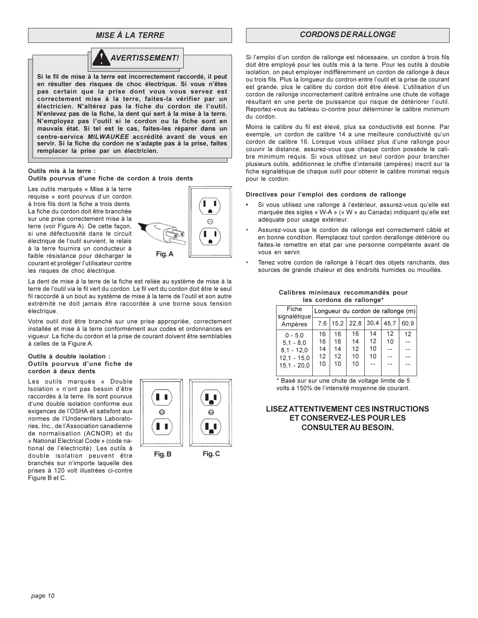# **MISE À LA TERRE**



Si le fil de mise à la terre est incorrectement raccordé, il peut en résulter des risques de choc électrique. Si vous n'êtes pas certain que la prise dont vous vous servez est correctement mise à la terre, faites-la vérifier par un électricien. N'altérez pas la fiche du cordon de l'outil. N'enlevez pas de la fiche, la dent qui sert à la mise à la terre. N'employez pas l'outil si le cordon ou la fiche sont en mauvais état. Si tel est le cas, faites-les réparer dans un centre-service MILWAUKEE accrédité avant de vous en servir. Si la fiche du cordon ne s'adapte pas à la prise, faites remplacer la prise par un électricien.

#### Outils mis à la terre :

Outils pourvus d'une fiche de cordon à trois dents

Les outils marqués « Mise à la terre requise » sont pourvus d'un cordon à trois fils dont la fiche a trois dents. La fiche du cordon doit être branchée sur une prise correctement mise à la terre (voir Figure A). De cette façon, si une défectuosité dans le circuit électrique de l'outil survient, le relais à la terre fournira un conducteur à faible résistance pour décharger le courant et protéger l'utilisateur contre les risques de choc électrique.



La dent de mise à la terre de la fiche est reliée au système de mise à la terre de l'outil via le fil vert du cordon. Le fil vert du cordon doit être le seul fil raccordé à un bout au système de mise à la terre de l'outil et son autre extrémité ne doit jamais être raccordée à une borne sous tension électrique.

Votre outil doit être branché sur une prise appropriée, correctement installée et mise à la terre conformément aux codes et ordonnances en viqueur. La fiche du cordon et la prise de courant doivent être semblables à celles de la Figure A.

#### Outils à double isolation : Outils pourvus d'une fiche de cordon à deux dents

Les outils marqués « Double Isolation » n'ont pas besoin d'être raccordés à la terre. Ils sont pourvus d'une double isolation conforme eux exigences de l'OSHA et satisfont aux normes de l'Underwriters Laboratories, Inc., de l'Association canadienne de normalisation (ACNOR) et du « National Electrical Code » (code national de l'électricité). Les outils à double isolation peuvent être branchés sur n'importe laquelle des prises à 120 volt illustrées ci-contre Figure B et C.



Fig.C

# **CORDONS DE RALLONGE**

Si l'emploi d'un cordon de rallonge est nécessaire, un cordon à trois fils doit être employé pour les outils mis à la terre. Pour les outils à double isolation, on peut employer indifféremment un cordon de rallonge à deux ou trois fils. Plus la longueur du cordron entre l'outil et la prise de courant est grande, plus le calibre du cordon doit être élevé. L'utilisation d'un cordon de rallonge incorrectement calibré entraîne une chute de voltage résultant en une perte de puissance qui risque de détériorer l'outil. Reportez-vous au tableau ci-contre pour déterminer le calibre minimum du cordon.

Moins le calibre du fil est élevé, plus sa conductivité est bonne. Par exemple, un cordon de calibre 14 a une meilleure conductivité qu'un cordon de calibre 16. Lorsque vous utilisez plus d'une rallonge pour couvrir la distance, assurez-vous que chaque cordon possède le calibre minimum requis. Si vous utilisez un seul cordon pour brancher plusieurs outils, additionnez le chiffre d'intensité (ampères) inscrit sur la fiche signalétique de chaque outil pour obtenir le calibre minimal requis pour le cordon.

#### Directives pour l'emploi des cordons de rallonge

- Si vous utilisez une rallonge à l'extérieur, assurez-vous qu'elle est marquée des sigles « W-A » (« W » au Canada) indiquant qu'elle est adéquate pour usage extérieur.
- Assurez-vous que le cordon de rallonge est correctement câblé et en bonne condition. Remplacez tout cordon derallonge détérioré ou faites-le remettre en état par une personne compétente avant de vous en servir.
- Tenez votre cordon de rallonge à l'écart des objets ranchants, des sources de grande chaleur et des endroits humides ou mouillés.

#### Calibres minimaux recommandés pour les cordons de rallonge\*

| Fiche<br>signalétique | Longueur du cordon de rallonge (m) |    |             |      |      |                          |  |  |  |  |
|-----------------------|------------------------------------|----|-------------|------|------|--------------------------|--|--|--|--|
| Ampères               | 7.6                                |    | $15.2$ 22.8 | 30,4 | 45.7 | 60.9                     |  |  |  |  |
| $0 - 5.0$             | 16                                 | 16 | 16          | 14   | 12   | 12                       |  |  |  |  |
| $5.1 - 8.0$           | 16                                 | 16 | 14          | 12   | 10   |                          |  |  |  |  |
| $8.1 - 12.0$          | 14                                 | 14 | 12          | 10   |      |                          |  |  |  |  |
| $12.1 - 15.0$         | 12                                 | 12 | 10          | 10   |      |                          |  |  |  |  |
| $15.1 - 20.0$         | 10                                 | 10 | 10          | $-$  |      | $\overline{\phantom{a}}$ |  |  |  |  |
|                       |                                    |    |             |      |      |                          |  |  |  |  |

\* Basé sur sur une chute de voltage limite de 5 volts à 150% de l'intensité moyenne de courant.

# **LISEZ ATTENTIVEMENT CES INSTRUCTIONS** ET CONSERVEZ-LES POUR LES **CONSULTER AU BESOIN.**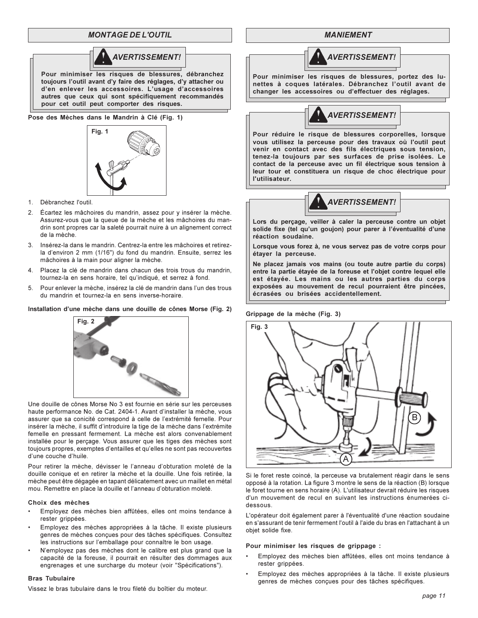# **MONTAGE DE L'OUTIL**



toujours l'outil avant d'y faire des réglages, d'y attacher ou d'en enlever les accessoires. L'usage d'accessoires autres que ceux qui sont spécifiquement recommandés pour cet outil peut comporter des risques.

Pose des Mèches dans le Mandrin à Clé (Fig. 1)



- 1. Débranchez l'outil.
- 2. Écartez les mâchoires du mandrin, assez pour y insérer la mèche. Assurez-vous que la queue de la mèche et les mâchoires du mandrin sont propres car la saleté pourrait nuire à un alignement correct de la mèche.
- 3. Insérez-la dans le mandrin. Centrez-la entre les mâchoires et retirezla d'environ 2 mm (1/16") du fond du mandrin. Ensuite, serrez les mâchoires à la main pour aligner la mèche.
- Placez la clé de mandrin dans chacun des trois trous du mandrin,  $4<sup>1</sup>$ tournez-la en sens horaire, tel qu'indiqué, et serrez à fond.
- Pour enlever la mèche, insérez la clé de mandrin dans l'un des trous 5. du mandrin et tournez-la en sens inverse-horaire.

#### Installation d'une mèche dans une douille de cônes Morse (Fig. 2)



Une douille de cônes Morse No 3 est fournie en série sur les perceuses haute performance No. de Cat. 2404-1. Avant d'installer la mèche, vous assurer que sa conicité correspond à celle de l'extrémité femelle. Pour insérer la mèche, il suffit d'introduire la tige de la mèche dans l'extrémite femelle en pressant fermement. La mèche est alors convenablement installée pour le perçage. Vous assurer que les tiges des mèches sont toujours propres, exemptes d'entailles et qu'elles ne sont pas recouvertes d'une couche d'huile

Pour retirer la mèche dévisser le l'anneau d'obturation moleté de la douille conique et en retirer la mèche et la douille. Une fois retirée, la mèche peut être dégagée en tapant délicatement avec un maillet en métal mou. Remettre en place la douille et l'anneau d'obturation moleté.

#### Choix des mèches

- Employez des mèches bien affûtées, elles ont moins tendance à rester grippées.
- Employez des mèches appropriées à la tâche. Il existe plusieurs genres de mèches conçues pour des tâches spécifiques. Consultez les instructions sur l'emballage pour connaître le bon usage.
- N'employez pas des mèches dont le calibre est plus grand que la capacité de la foreuse, il pourrait en résulter des dommages aux engrenages et une surcharge du moteur (voir "Spécifications").

#### **Bras Tubulaire**

Vissez le bras tubulaire dans le trou fileté du boîtier du moteur

#### **MANIEMENT**



Pour minimiser les risques de blessures, portez des lunettes à coques latérales. Débranchez l'outil avant de changer les accessoires ou d'effectuer des réglages.



Pour réduire le risque de blessures corporelles, lorsque vous utilisez la perceuse pour des travaux où l'outil peut venir en contact avec des fils électriques sous tension, tenez-la toujours par ses surfaces de prise isolées. Le contact de la perceuse avec un fil électrique sous tension à leur tour et constituera un risque de choc électrique pour l'utilisateur.



Lors du perçage, veiller à caler la perceuse contre un objet solide fixe (tel qu'un goujon) pour parer à l'éventualité d'une réaction soudaine.

Lorsque vous forez à, ne vous servez pas de votre corps pour étayer la perceuse.

Ne placez jamais vos mains (ou toute autre partie du corps) entre la partie étayée de la foreuse et l'objet contre lequel elle est étayée. Les mains ou les autres parties du corps exposées au mouvement de recul pourraient être pincées, écrasées ou brisées accidentellement.

Grippage de la mèche (Fig. 3)



Si le foret reste coincé, la perceuse va brutalement réagir dans le sens opposé à la rotation. La figure 3 montre le sens de la réaction (B) lorsque le foret tourne en sens horaire (A). L'utilisateur devrait réduire les risques d'un mouvement de recul en suivant les instructions énumerées cidessous

L'opérateur doit également parer à l'éventualité d'une réaction soudaine en s'assurant de tenir fermement l'outil à l'aide du bras en l'attachant à un objet solide fixe.

Pour minimiser les risques de grippage :

- Employez des mèches bien affûtées, elles ont moins tendance à rester grippées.
- Employez des mèches appropriées à la tâche. Il existe plusieurs genres de mèches concues pour des tâches spécifiques.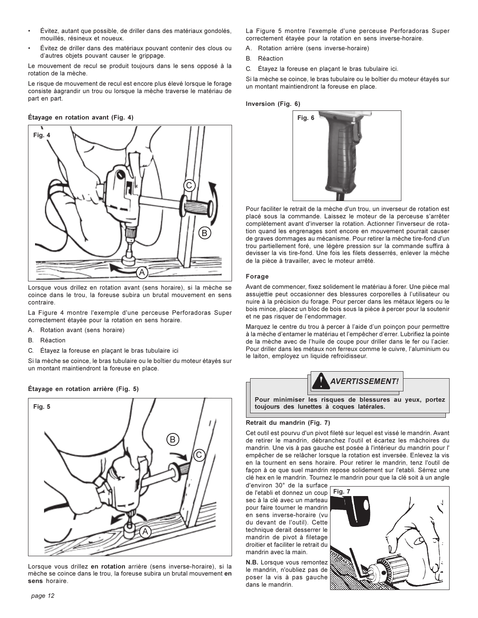- Évitez, autant que possible, de driller dans des matériaux gondolés. mouillés, résineux et noueux.
- Évitez de driller dans des matériaux pouvant contenir des clous ou d'autres objets pouvant causer le grippage.

Le mouvement de recul se produit toujours dans le sens opposé à la rotation de la mèche.

Le risque de mouvement de recul est encore plus élevé lorsque le forage consiste àagrandir un trou ou lorsque la mèche traverse le matériau de part en part.

#### Etayage en rotation avant (Fig. 4)



Lorsque vous drillez en rotation avant (sens horaire), si la mèche se coince dans le trou. la foreuse subira un brutal mouvement en sens contraire.

La Figure 4 montre l'exemple d'une perceuse Perforadoras Super correctement étayée pour la rotation en sens horaire.

- A. Rotation avant (sens horaire)
- $\mathsf{R}$ Réaction
- $\mathsf{C}$ Étavez la foreuse en placant le bras tubulaire ici

Si la mèche se coince, le bras tubulaire ou le boîtier du moteur étavés sur un montant maintiendront la foreuse en place.





Lorsque vous drillez en rotation arrière (sens inverse-horaire), si la mèche se coince dans le trou, la foreuse subira un brutal mouvement en sens horaire.

La Figure 5 montre l'exemple d'une perceuse Perforadoras Super correctement étayée pour la rotation en sens inverse-horaire.

- A. Rotation arrière (sens inverse-horaire)
- B. Réaction
- C. Étayez la foreuse en plaçant le bras tubulaire ici.

Si la mèche se coince, le bras tubulaire ou le boîtier du moteur étavés sur un montant maintiendront la foreuse en place.

#### Inversion (Fig. 6)



Pour faciliter le retrait de la mèche d'un trou, un inverseur de rotation est placé sous la commande. Laissez le moteur de la perceuse s'arrêter .<br>complètement avant d'inverser la rotation. Actionner l'inverseur de rotation quand les engrenages sont encore en mouvement pourrait causer de graves dommages au mécanisme. Pour retirer la mèche tire-fond d'un trou partiellement foré, une légère pression sur la commande suffira à devisser la vis tire-fond. Une fois les filets desserrés, enlever la mèche de la pièce à travailler, avec le moteur arrêté.

#### **Forage**

Avant de commencer, fixez solidement le matériau à forer. Une pièce mal assuiettie peut occasionner des blessures corporelles à l'utilisateur ou nuire à la précision du forage. Pour percer dans les métaux légers ou le bois mince, placez un bloc de bois sous la pièce à percer pour la soutenir et ne pas risquer de l'endommager.

Marquez le centre du trou à percer à l'aide d'un poinçon pour permettre à la mèche d'entamer le matériau et l'empêcher d'errer. Lubrifiez la pointe de la mèche avec de l'huile de coupe pour driller dans le fer ou l'acier. Pour driller dans les métaux non ferreux comme le cuivre. l'aluminium ou le laiton, employez un liquide refroidisseur.



#### **Retrait du mandrin (Fig. 7)**

Cet outil est pourvu d'un pivot fileté sur lequel est vissé le mandrin. Avant de retirer le mandrin, débranchez l'outil et écartez les mâchoires du mandrin. Une vis à pas gauche est posée à l'intérieur du mandrin pour l' empêcher de se relâcher lorsque la rotation est inversée. Enlevez la vis en la tournent en sens horaire. Pour retirer le mandrin, tenz l'outil de façon à ce que suel mandrin repose solidement sur l'etabli. Sérrez une clé hex en le mandrin. Tournez le mandrin pour que la clé soit à un angle

d'environ 30° de la surface de l'etabli et donnez un coup sec à la clé avec un marteau pour faire tourner le mandrin en sens inverse-horaire (vu du devant de l'outil). Cette technique derait desserrer le mandrin de pivot à filetage droitier et faciliter le retrait du mandrin avec la main.

**N.B.** Lorsque vous remontez le mandrin, n'oubliez pas de poser la vis à pas gauche dans le mandrin.

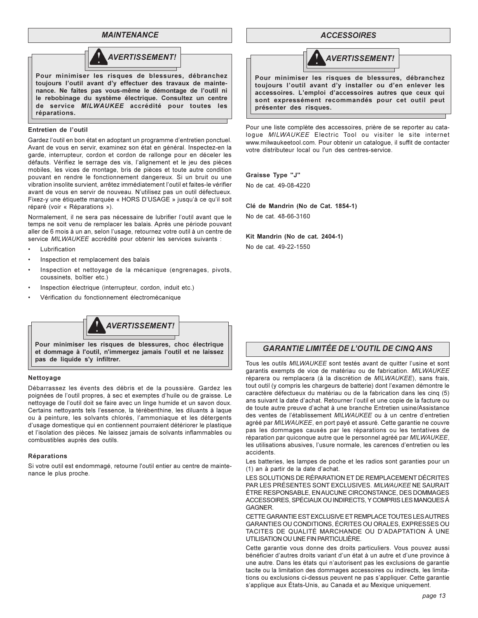#### **MAINTENANCE**



#### Entretien de l'outil

réparations.

Gardez l'outil en bon état en adoptant un programme d'entretien ponctuel. Avant de vous en servir, examinez son état en général. Inspectez-en la garde, interrupteur, cordon et cordon de rallonge pour en déceler les défauts. Vérifiez le serrage des vis, l'alignement et le jeu des pièces mobiles, les vices de montage, bris de pièces et toute autre condition pouvant en rendre le fonctionnement dangereux. Si un bruit ou une vibration insolite survient, arrêtez immédiatement l'outil et faites-le vérifier avant de vous en servir de nouveau. N'utilisez pas un outil défectueux. Fixez-y une étiquette marquée « HORS D'USAGE » jusqu'à ce qu'il soit réparé (voir « Réparations »).

Normalement, il ne sera pas nécessaire de lubrifier l'outil avant que le temps ne soit venu de remplacer les balais. Après une période pouvant aller de 6 mois à un an, selon l'usage, retournez votre outil à un centre de service MILWAUKEE accrédité pour obtenir les services suivants :

- Lubrification
- Inspection et remplacement des balais
- Inspection et nettoyage de la mécanique (engrenages, pivots, coussinets, boîtier etc.)
- Inspection électrique (interrupteur, cordon, induit etc.)
- Vérification du fonctionnement électromécanique



Pour minimiser les risques de blessures, choc électrique et dommage à l'outil, n'immergez jamais l'outil et ne laissez pas de liquide s'y infiltrer.

#### Nettoyage

Débarrassez les évents des débris et de la poussière. Gardez les poignées de l'outil propres, à sec et exemptes d'huile ou de graisse. Le nettoyage de l'outil doit se faire avec un linge humide et un savon doux. Certains nettoyants tels l'essence, la térébenthine, les diluants à laque ou à peinture, les solvants chlorés, l'ammoniaque et les détergents d'usage domestique qui en contiennent pourraient détériorer le plastique et l'isolation des pièces. Ne laissez jamais de solvants inflammables ou combustibles auprès des outils.

#### Réparations

Si votre outil est endommagé, retourne l'outil entier au centre de maintenance le plus proche.

#### **ACCESSOIRES**



Pour minimiser les risques de blessures, débranchez toujours l'outil avant d'y installer ou d'en enlever les accessoires. L'emploi d'accessoires autres que ceux qui sont expressément recommandés pour cet outil peut présenter des risques.

Pour une liste complète des accessoires, prière de se reporter au cataloque MILWAUKEE Electric Tool ou visiter le site internet www.milwaukeetool.com. Pour obtenir un catalogue, il suffit de contacter votre distributeur local ou l'un des centres-service.

#### Graisse Type "J"

No de cat. 49-08-4220

Clé de Mandrin (No de Cat. 1854-1) No de cat. 48-66-3160

Kit Mandrin (No de cat. 2404-1)

No de cat. 49-22-1550

# **GARANTIE LIMITÉE DE L'OUTIL DE CINQ ANS**

Tous les outils MILWAUKEE sont testés avant de quitter l'usine et sont garantis exempts de vice de matériau ou de fabrication. MILWAUKEE réparera ou remplacera (à la discrétion de MILWAUKEE), sans frais, tout outil (y compris les chargeurs de batterie) dont l'examen démontre le caractère défectueux du matériau ou de la fabrication dans les cinq (5) ans suivant la date d'achat. Retourner l'outil et une copie de la facture ou de toute autre preuve d'achat à une branche Entretien usine/Assistance des ventes de l'établissement MILWAUKEE ou à un centre d'entretien agréé par MILWAUKEE, en port payé et assuré. Cette garantie ne couvre pas les dommages causés par les réparations ou les tentatives de réparation par quiconque autre que le personnel agréé par MILWAUKEE, les utilisations abusives, l'usure normale, les carences d'entretien ou les accidents

Les batteries, les lampes de poche et les radios sont garanties pour un (1) an à partir de la date d'achat.

LES SOLUTIONS DE RÉPARATION ET DE REMPLACEMENT DÉCRITES PAR LES PRÉSENTES SONT EXCLUSIVES. MILWAUKEE NE SAURAIT ÊTRE RESPONSABLE. EN AUCUNE CIRCONSTANCE. DES DOMMAGES ACCESSOIRES, SPÉCIAUX OU INDIRECTS, Y COMPRIS LES MANQUES À GAGNER

CETTE GARANTIE EST EXCLUSIVE ET REMPLACE TOUTES LES AUTRES GARANTIES OU CONDITIONS, ÉCRITES OU ORALES, EXPRESSES OU TACITES DE QUALITÉ MARCHANDE OU D'ADAPTATION À UNE UTILISATION OU UNE FIN PARTICULIÈRE.

Cette garantie vous donne des droits particuliers. Vous pouvez aussi bénéficier d'autres droits variant d'un état à un autre et d'une province à une autre. Dans les états qui n'autorisent pas les exclusions de garantie tacite ou la limitation des dommages accessoires ou indirects, les limitations ou exclusions ci-dessus peuvent ne pas s'appliquer. Cette garantie s'applique aux États-Unis, au Canada et au Mexique uniquement.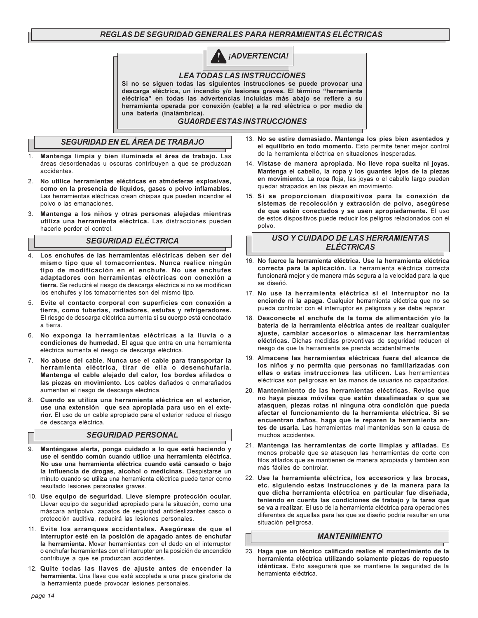# REGLAS DE SEGURIDAD GENERALES PARA HERRAMIENTAS ELÉCTRICAS



#### **LEA TODAS LAS INSTRUCCIONES**

Si no se siguen todas las siguientes instrucciones se puede provocar una descarga eléctrica, un incendio y/o lesiones graves. El término "herramienta eléctrica" en todas las advertencias incluidas más abajo se refiere a su herramienta operada por conexión (cable) a la red eléctrica o por medio de una batería (inalámbrica).

#### **GUA0RDE ESTAS INSTRUCCIONES**

# **SEGURIDAD EN EL ÁREA DE TRABAJO**

- $1.$ Mantenga limpia y bien iluminada el área de trabajo. Las áreas desordenadas u oscuras contribuyen a que se produzcan accidentes
- No utilice herramientas eléctricas en atmósferas explosivas,  $\mathcal{P}$ como en la presencia de líquidos, gases o polvo inflamables. Las herramientas eléctricas crean chispas que pueden incendiar el polvo o las emanaciones.
- Mantenga a los niños y otras personas alejadas mientras  $3<sub>1</sub>$ utiliza una herramienta eléctrica. Las distracciones pueden hacerle perder el control.

# **SEGURIDAD ELÉCTRICA**

- $\overline{4}$ . Los enchufes de las herramientas eléctricas deben ser del mismo tipo que el tomacorrientes. Nunca realice ningún tipo de modificación en el enchufe. No use enchufes adaptadores con herramientas eléctricas con conexión a tierra. Se reducirá el riesgo de descarga eléctrica si no se modifican los enchufes y los tomacorrientes son del mismo tipo.
- 5. Evite el contacto corporal con superficies con conexión a tierra, como tuberías, radiadores, estufas y refrigeradores. El riesgo de descarga eléctrica aumenta si su cuerpo está conectado a tierra.
- 6. No exponga la herramientas eléctricas a la lluvia o a condiciones de humedad. El aqua que entra en una herramienta eléctrica aumenta el riesgo de descarga eléctrica.
- No abuse del cable. Nunca use el cable para transportar la  $7<sub>1</sub>$ herramienta eléctrica, tirar de ella o desenchufarla. Mantenga el cable alejado del calor, los bordes afilados o las piezas en movimiento. Los cables dañados o enmarañados aumentan el riesgo de descarga eléctrica.
- Cuando se utiliza una herramienta eléctrica en el exterior, 8. use una extensión que sea apropiada para uso en el exterior. El uso de un cable apropiado para el exterior reduce el riesgo de descarga eléctrica.

#### **SEGURIDAD PERSONAL**

- Manténgase alerta, ponga cuidado a lo que está haciendo y 9 use el sentido común cuando utilice una herramienta eléctrica. No use una herramienta eléctrica cuando está cansado o bajo la influencia de drogas, alcohol o medicinas. Despistarse un minuto cuando se utiliza una herramienta eléctrica puede tener como resultado lesiones personales graves.
- 10. Use equipo de seguridad. Lleve siempre protección ocular. Llevar equipo de seguridad apropiado para la situación, como una máscara antipolvo, zapatos de seguridad antideslizantes casco o protección auditiva, reducirá las lesiones personales.
- 11. Evite los arranques accidentales. Asegúrese de que el interruptor esté en la posición de apagado antes de enchufar la herramienta. Mover herramientas con el dedo en el interruptor o enchufar herramientas con el interruptor en la posición de encendido contribuye a que se produzcan accidentes.
- 12. Quite todas las llaves de ajuste antes de encender la herramienta. Una llave que esté acoplada a una pieza giratoria de la herramienta puede provocar lesiones personales.
- 13. No se estire demasiado. Mantenga los pies bien asentados y el equilibrio en todo momento. Esto permite tener mejor control de la herramienta eléctrica en situaciones inesperadas.
- 14. Vístase de manera apropiada. No lleve ropa suelta ni joyas. Mantenga el cabello, la ropa y los guantes lejos de la piezas en movimiento. La ropa floja, las joyas o el cabello largo pueden quedar atrapados en las piezas en movimiento.
- 15. Si se proporcionan dispositivos para la conexión de sistemas de recolección y extracción de polvo, asegúrese de que estén conectados y se usen apropiadamente. El uso de estos dispositivos puede reducir los peligros relacionados con el polvo.

#### **USO Y CUIDADO DE LAS HERRAMIENTAS ELÉCTRICAS**

- 16. No fuerce la herramienta eléctrica. Use la herramienta eléctrica correcta para la aplicación. La herramienta eléctrica correcta funcionará mejor y de manera más segura a la velocidad para la que se diseñó.
- 17. No use la herramienta eléctrica si el interruptor no la enciende ni la apaga. Cualquier herramienta eléctrica que no se pueda controlar con el interruptor es peligrosa y se debe reparar.
- 18. Desconecte el enchufe de la toma de alimentación y/o la batería de la herramienta eléctrica antes de realizar cualquier ajuste, cambiar accesorios o almacenar las herramientas eléctricas. Dichas medidas preventivas de seguridad reducen el riesgo de que la herramienta se prenda accidentalmente.
- 19. Almacene las herramientas eléctricas fuera del alcance de los niños y no permita que personas no familiarizadas con ellas o estas instrucciones las utilicen. Las herramientas eléctricas son peligrosas en las manos de usuarios no capacitados.
- 20. Mantenimiento de las herramientas eléctricas. Revise que no haya piezas móviles que estén desalineadas o que se atasquen, piezas rotas ni ninguna otra condición que pueda afectar el funcionamiento de la herramienta eléctrica. Si se encuentran daños, haga que le reparen la herramienta antes de usarla. Las herramientas mal mantenidas son la causa de muchos accidentes.
- 21. Mantenga las herramientas de corte limpias y afiladas. Es menos probable que se atasquen las herramientas de corte con filos afilados que se mantienen de manera apropiada y también son más fáciles de controlar.
- 22. Use la herramienta eléctrica, los accesorios y las brocas, etc. siguiendo estas instrucciones y de la manera para la que dicha herramienta eléctrica en particular fue diseñada, teniendo en cuenta las condiciones de trabajo y la tarea que se va a realizar. El uso de la herramienta eléctrica para operaciones diferentes de aquellas para las que se diseño podría resultar en una situación peligrosa.

#### **MANTENIMIENTO**

23. Haga que un técnico calificado realice el mantenimiento de la herramienta eléctrica utilizando solamente piezas de repuesto idénticas. Esto asegurará que se mantiene la seguridad de la herramienta eléctrica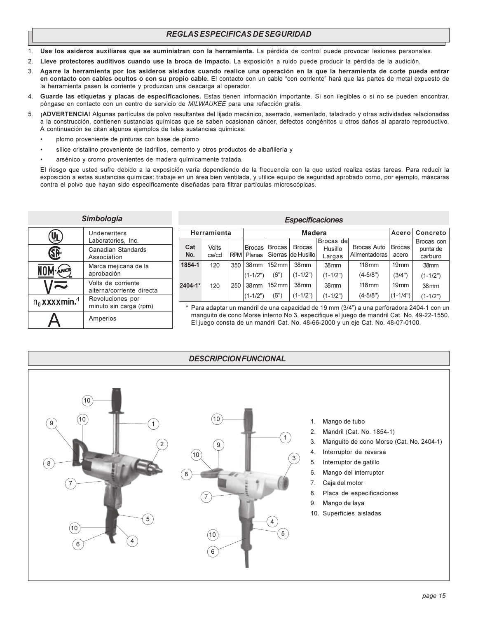# REGLAS ESPECIFICAS DE SEGURIDAD

- Use los asideros auxiliares que se suministran con la herramienta. La pérdida de control puede provocar lesiones personales.  $1.$
- Lleve protectores auditivos cuando use la broca de impacto. La exposición a ruido puede producir la pérdida de la audición.  $2.$
- $\mathcal{E}$ Agarre la herramienta por los asideros aislados cuando realice una operación en la que la herramienta de corte pueda entrar en contacto con cables ocultos o con su propio cable. El contacto con un cable "con corriente" hará que las partes de metal expuesto de la herramienta pasen la corriente y produzcan una descarga al operador.
- Guarde las etiquetas y placas de especificaciones. Estas tienen información importante. Si son ilegibles o si no se pueden encontrar,  $\overline{4}$ póngase en contacto con un centro de servicio de MILWAUKEE para una refacción gratis.
- 5. ¡ADVERTENCIA! Algunas partículas de polvo resultantes del lijado mecánico, aserrado, esmerilado, taladrado y otras actividades relacionadas a la construcción, contienen sustancias químicas que se saben ocasionan cáncer, defectos congénitos u otros daños al aparato reproductivo. A continuación se citan algunos ejemplos de tales sustancias químicas:
	- plomo proveniente de pinturas con base de plomo
	- sílice cristalino proveniente de ladrillos, cemento y otros productos de albañilería y
	- arsénico y cromo provenientes de madera químicamente tratada.

El riesgo que usted sufre debido a la exposición varía dependiendo de la frecuencia con la que usted realiza estas tareas. Para reducir la exposición a estas sustancias químicas: trabaje en un área bien ventilada, y utilice equipo de seguridad aprobado como, por ejemplo, máscaras contra el polvo que hayan sido específicamente diseñadas para filtrar partículas microscópicas.

| Simbología                   |                                                 |    |  |  |  |  |
|------------------------------|-------------------------------------------------|----|--|--|--|--|
|                              | Underwriters<br>Laboratories, Inc.              |    |  |  |  |  |
|                              | Canadian Standards<br>Association               |    |  |  |  |  |
|                              | Marca mejicana de la<br>aprobación              | 18 |  |  |  |  |
|                              | Volts de corriente<br>alterna/corriente directa | 24 |  |  |  |  |
| $n_0$ xxxxmin. <sup>-1</sup> | Revoluciones por<br>minuto sin carga (rpm)      |    |  |  |  |  |
|                              | Amperios                                        |    |  |  |  |  |

| <b>Especificaciones</b>               |                |            |                                |                             |                                      |                                 |                               |                            |                                   |  |  |
|---------------------------------------|----------------|------------|--------------------------------|-----------------------------|--------------------------------------|---------------------------------|-------------------------------|----------------------------|-----------------------------------|--|--|
| <b>Madera</b><br>Herramienta<br>Acero |                |            |                                |                             |                                      |                                 |                               |                            | Concreto                          |  |  |
| Cat<br>No.                            | Volts<br>ca/cd | <b>RPM</b> | <b>Brocas</b><br>Planas        | Brocas                      | <b>Brocas</b><br>Sierras Ide Husillo | Brocas del<br>Husillo<br>Largas | Brocas Auto<br>Alimentadoras  | <b>Brocas</b><br>acero     | Brocas con<br>punta de<br>carburo |  |  |
| 1854-1                                | 120            | 350        | 38 <sub>mm</sub>               | $152 \,\mathrm{mm}$         | 38 <sub>mm</sub>                     | 38 <sub>mm</sub>                | $118 \text{mm}$               | 19mm                       | 38mm                              |  |  |
| 2404-1*                               | 120            | 250        | $(1-1/2")$<br>38 <sub>mm</sub> | (6")<br>$152 \,\mathrm{mm}$ | $(1-1/2")$<br>38 <sub>mm</sub>       | $(1-1/2")$<br>38 <sub>mm</sub>  | $(4-5/8")$<br>$118 \text{mm}$ | (3/4")<br>19 <sub>mm</sub> | $(1-1/2")$<br>38 <sub>mm</sub>    |  |  |
|                                       |                |            | $(1-1/2")$                     | (6")                        | $(1-1/2")$                           | $(1-1/2")$                      | $(4-5/8")$                    | $(1 - 1/4")$               | $(1-1/2")$                        |  |  |

\* Para adaptar un mandril de una capacidad de 19 mm (3/4") a una perforadora 2404-1 con un manquito de cono Morse interno No 3, especifique el juego de mandril Cat. No. 49-22-1550. El juego consta de un mandril Cat. No. 48-66-2000 y un eje Cat. No. 48-07-0100.

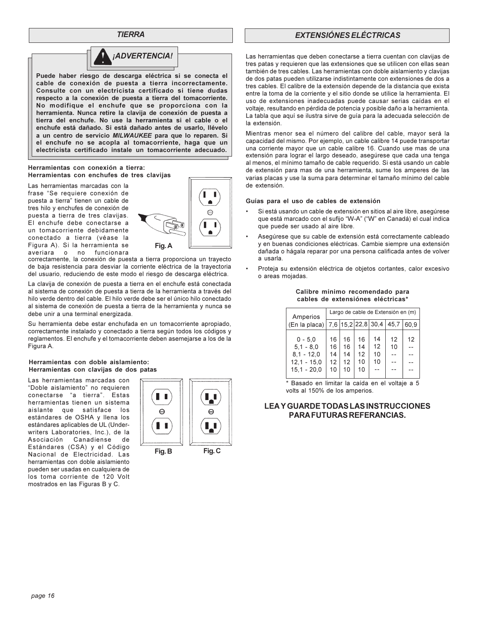**TIERRA** 



Puede haber riesgo de descarga eléctrica si se conecta el cable de conexión de puesta a tierra incorrectamente. Consulte con un electricista certificado si tiene dudas respecto a la conexión de puesta a tierra del tomacorriente. No modifique el enchufe que se proporciona con la herramienta. Nunca retire la clavija de conexión de puesta a tierra del enchufe. No use la herramienta si el cable o el enchufe está dañado. Si está dañado antes de usarlo, llévelo a un centro de servicio MILWAUKEE para que lo reparen. Si el enchufe no se acopla al tomacorriente, haga que un electricista certificado instale un tomacorriente adecuado.

#### Herramientas con conexión a tierra: Herramientas con enchufes de tres clavijas

Las herramientas marcadas con la frase "Se requiere conexión de puesta a tierra" tienen un cable de tres hilo y enchufes de conexión de puesta a tierra de tres clavijas. El enchufe debe conectarse a un tomacorriente debidamente conectado a tierra (véase la Figura A). Si la herramienta se funcionara averiara  $\Omega$ no



correctamente, la conexión de puesta a tierra proporciona un trayecto de baja resistencia para desviar la corriente eléctrica de la trayectoria del usuario, reduciendo de este modo el riesgo de descarga eléctrica.

La clavija de conexión de puesta a tierra en el enchufe está conectada al sistema de conexión de puesta a tierra de la herramienta a través del hilo verde dentro del cable. El hilo verde debe ser el único hilo conectado al sistema de conexión de puesta a tierra de la herramienta y nunca se debe unir a una terminal energizada.

Su herramienta debe estar enchufada en un tomacorriente apropiado. correctamente instalado y conectado a tierra según todos los códigos y reglamentos. El enchufe y el tomacorriente deben asemejarse a los de la Figura A.

#### Herramientas con doble aislamiento: Herramientas con clavijas de dos patas

Las herramientas marcadas con "Doble aislamiento" no requieren conectarse "a tierra". Estas herramientas tienen un sistema aislante que satisface los estándares de OSHA y llena los estándares aplicables de UL (Underwriters Laboratories, Inc.), de la Asociación Canadiense de Estándares (CSA) y el Código Nacional de Electricidad. Las herramientas con doble aislamiento pueden ser usadas en cualquiera de los toma corriente de 120 Volt mostrados en las Figuras B y C.



# **EXTENSIÓNES ELÉCTRICAS**

Las herramientas que deben conectarse a tierra cuentan con clavijas de tres patas y requieren que las extensiones que se utilicen con ellas sean también de tres cables. Las herramientas con doble aislamiento y clavijas de dos patas pueden utilizarse indistintamente con extensiones de dos a tres cables. El calibre de la extensión depende de la distancia que exista entre la toma de la corriente y el sitio donde se utilice la herramienta. El uso de extensiones inadecuadas puede causar serias caídas en el voltaje, resultando en pérdida de potencia y posible daño a la herramienta. La tabla que aquí se ilustra sirve de quía para la adecuada selección de la extensión

Mientras menor sea el número del calibre del cable, mayor será la capacidad del mismo. Por ejemplo, un cable calibre 14 puede transportar una corriente mayor que un cable calibre 16. Cuando use mas de una extensión para lograr el largo deseado, asegúrese que cada una tenga al menos, el mínimo tamaño de cable requerido. Si está usando un cable de extensión para mas de una herramienta, sume los amperes de las varias placas y use la suma para determinar el tamaño mínimo del cable de extensión.

#### Guías para el uso de cables de extensión

- Si está usando un cable de extensión en sitios al aire libre, asegúrese que está marcado con el sufijo "W-A" ("W" en Canadá) el cual indica que puede ser usado al aire libre.
- Asegúrese que su cable de extensión está correctamente cableado y en buenas condiciones eléctricas. Cambie siempre una extensión dañada o hágala reparar por una persona calificada antes de volver a usarla.
- Proteja su extensión eléctrica de objetos cortantes, calor excesivo o areas mojadas.

| Amperios                    | Largo de cable de Extensión en (m) |          |          |                          |      |      |  |  |
|-----------------------------|------------------------------------|----------|----------|--------------------------|------|------|--|--|
| (En la placa)               |                                    |          |          | 7,6   15,2   22,8   30,4 | 45,7 | 60.9 |  |  |
| $0 - 5.0$                   | 16                                 | 16       | 16       | 14                       | 12   | 12   |  |  |
| $5.1 - 8.0$<br>$8.1 - 12.0$ | 16<br>14                           | 16<br>14 | 14<br>12 | 12<br>10                 | 10   |      |  |  |
| $12.1 - 15.0$               | $12 \overline{ }$                  | 12       | 10       | 10                       |      |      |  |  |
| $15.1 - 20.0$               | 10                                 | 10       | 10       |                          |      |      |  |  |

#### Calibre mínimo recomendado para cables de extensiónes eléctricas\*

\* Basado en limitar la caída en el voltaje a 5 volts al 150% de los amperios.

## **LEAY GUARDE TODAS LAS INSTRUCCIONES PARA FUTURAS REFERANCIAS.**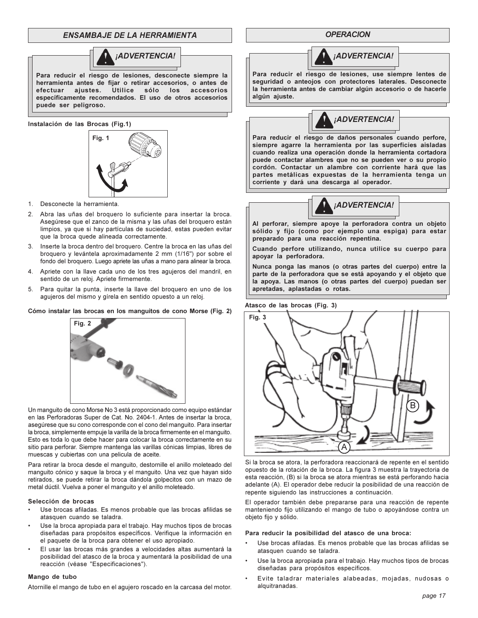# **ENSAMBAJE DE LA HERRAMIENTA**



Para reducir el riesgo de lesiones, desconecte siempre la herramienta antes de fijar o retirar accesorios, o antes de ajustes. Utilice sólo los accesorios efectuar específicamente recomendados. El uso de otros accesorios puede ser peligroso.

Instalación de las Brocas (Fig.1)



- 1. Desconecte la herramienta.
- 2. Abra las uñas del broquero lo suficiente para insertar la broca. Asegúrese que el zanco de la misma y las uñas del broquero están limpios, ya que si hay partículas de suciedad, estas pueden evitar que la broca quede alineada correctamente.
- 3. Inserte la broca dentro del broquero. Centre la broca en las uñas del broquero y levántela aproximadamente 2 mm (1/16") por sobre el fondo del broquero. Luego apriete las uñas a mano para alinear la broca.
- Apriete con la llave cada uno de los tres agujeros del mandril, en 4. sentido de un reloj. Apriete firmemente.
- 5. Para quitar la punta, inserte la llave del broquero en uno de los agujeros del mismo y gírela en sentido opuesto a un reloj.

#### Cómo instalar las brocas en los manguitos de cono Morse (Fig. 2)



Un manquito de cono Morse No 3 está proporcionado como equipo estándar en las Perforadoras Super de Cat. No. 2404-1. Antes de insertar la broca, asegúrese que su cono corresponde con el cono del manguito. Para insertar la broca, simplemente empuje la varilla de la broca firmemente en el manguito. Esto es toda lo que debe hacer para colocar la broca correctamente en su sitio para perforar. Siempre mantenga las varillas cónicas limpias, libres de muescas y cubiertas con una pelicula de aceite.

Para retirar la broca desde el manguito, destornille el anillo moleteado del manguito cónico y saque la broca y el manguito. Una vez que hayan sido retirados, se puede retirar la broca dándola golpecitos con un mazo de metal dúctil. Vuelva a poner el manguito y el anillo moleteado.

#### Selección de brocas

- Use brocas afiladas. Es menos probable que las brocas afilidas se atasquen cuando se taladra.
- Use la broca apropiada para el trabajo. Hay muchos tipos de brocas diseñadas para propósitos específicos. Verifique la información en el paquete de la broca para obtener el uso apropiado.
- El usar las brocas más grandes a velocidades altas aumentará la posibilidad del atasco de la broca y aumentará la posibilidad de una reacción (véase "Especificaciones").

#### Mango de tubo

Atornille el mango de tubo en el agujero roscado en la carcasa del motor.

**OPERACION** 



Para reducir el riesgo de lesiones, use siempre lentes de seguridad o anteojos con protectores laterales. Desconecte la herramienta antes de cambiar algún accesorio o de hacerle algún ajuste.



Para reducir el riesgo de daños personales cuando perfore, siempre agarre la herramienta por las superficies aisladas cuando realiza una operación donde la herramienta cortadora puede contactar alambres que no se pueden ver o su propio cordón. Contactar un alambre con corriente hará que las partes metálicas expuestas de la herramienta tenga un corriente y dará una descarga al operador.



Al perforar, siempre apoye la perforadora contra un objeto sólido y fijo (como por ejemplo una espiga) para estar preparado para una reacción repentina.

Cuando perfore utilizando, nunca utilice su cuerpo para apoyar la perforadora.

Nunca ponga las manos (o otras partes del cuerpo) entre la parte de la perforadora que se está apoyando y el objeto que la apoya. Las manos (o otras partes del cuerpo) puedan ser apretadas, aplastadas o rotas.

Atasco de las brocas (Fig. 3)



Si la broca se atora, la perforadora reaccionará de repente en el sentido opuesto de la rotación de la broca. La figura 3 muestra la trayectoria de esta reacción, (B) si la broca se atora mientras se está perforando hacia adelante (A). El operador debe reducir la posibilidad de una reacción de repente siguiendo las instrucciones a continuación.

El operador también debe prepararse para una reacción de repente manteniendo fijo utilizando el mango de tubo o apoyándose contra un objeto fijo y sólido.

#### Para reducir la posibilidad del atasco de una broca:

- Use brocas afiladas. Es menos probable que las brocas afilidas se atasquen cuando se taladra.
- Use la broca apropiada para el trabajo. Hay muchos tipos de brocas diseñadas para propósitos específicos.
- Evite taladrar materiales alabeadas, mojadas, nudosas o alquitranadas.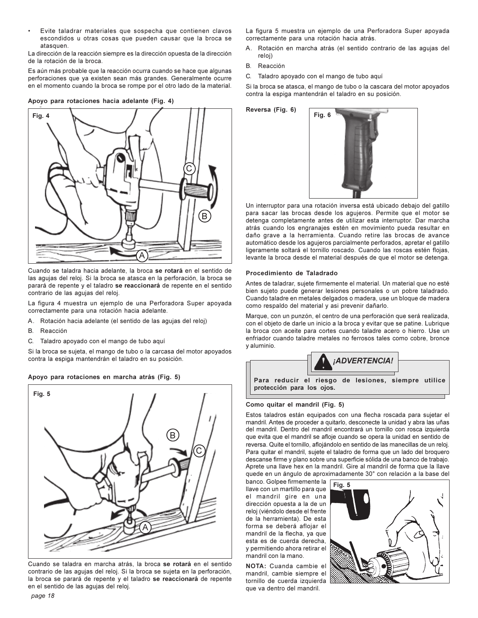Evite taladrar materiales que sospecha que contienen clavos escondidos u otras cosas que pueden causar que la broca se atasquen

La dirección de la reacción siempre es la dirección opuesta de la dirección de la rotación de la broca.

Es aún más probable que la reacción ocurra cuando se hace que algunas perforaciones que ya existen sean más grandes. Generalmente ocurre en el momento cuando la broca se rompe por el otro lado de la material.

#### Apoyo para rotaciones hacia adelante (Fig. 4)



Cuando se taladra hacia adelante, la broca se rotará en el sentido de las agujas del reloj. Si la broca se atasca en la perforación, la broca se parará de repente y el taladro se reaccionará de repente en el sentido contrario de las agujas del reloj.

La figura 4 muestra un ejemplo de una Perforadora Super apoyada correctamente para una rotación hacia adelante.

- A. Rotación hacia adelante (el sentido de las agujas del reloj)
- <sub>R</sub> Reacción
- C Taladro apoyado con el mango de tubo aquí

Si la broca se sujeta, el mango de tubo o la carcasa del motor apoyados contra la espiga mantendrán el taladro en su posición.

#### Apoyo para rotaciones en marcha atrás (Fig. 5)



Cuando se taladra en marcha atrás, la broca se rotará en el sentido contrario de las agujas del reloj. Si la broca se sujeta en la perforación, la broca se parará de repente y el taladro se reaccionará de repente en el sentido de las agujas del reloj.

La figura 5 muestra un ejemplo de una Perforadora Super apoyada correctamente para una rotación hacia atrás.

- Rotación en marcha atrás (el sentido contrario de las agujas del Α. reloi)
- <sub>B</sub> Reacción
- $\mathsf{C}$ Taladro apoyado con el mango de tubo aquí

Si la broca se atasca, el mango de tubo o la cascara del motor apoyados contra la espiga mantendrán el taladro en su posición.



Un interruptor para una rotación inversa está ubicado debajo del gatillo para sacar las brocas desde los agujeros. Permite que el motor se detenga completamente antes de utilizar esta interruptor. Dar marcha atrás cuando los engranajes estén en movimiento pueda resultar en daño grave a la herramienta. Cuando retire las brocas de avance automático desde los agujeros parcialmente perforados, apretar el gatillo ligeramente soltará el tornillo roscado. Cuando las roscas estén flojas, levante la broca desde el material después de que el motor se detenga.

#### Procedimiento de Taladrado

Antes de taladrar, sujete firmemente el material. Un material que no esté bien sujeto puede generar lesiones personales o un pobre taladrado. Cuando taladre en metales delgados o madera, use un bloque de madera como respaldo del material y asi prevenir dañarlo.

Marque, con un punzón, el centro de una perforación que será realizada, con el objeto de darle un inicio a la broca y evitar que se patine. Lubrique la broca con aceite para cortes cuando taladre acero o hierro. Use un enfriador cuando taladre metales no ferrosos tales como cobre, bronce y aluminio.



#### Como quitar el mandril (Fig. 5)

Estos taladros están equipados con una flecha roscada para sujetar el mandril. Antes de proceder a quitarlo, desconecte la unidad y abra las uñas del mandril. Dentro del mandril encontrará un tornillo con rosca izquierda que evita que el mandril se afloje cuando se opera la unidad en sentido de reversa. Quite el tornillo, aflojándolo en sentido de las manecillas de un reloj. Para quitar el mandril, sujete el taladro de forma que un lado del broquero descanse firme y plano sobre una superficie sólida de una banco de trabajo. Aprete una llave hex en la mandril. Gire al mandril de forma que la llave quede en un ángulo de aproximadamente 30° con relación a la base del

banco. Golpee firmemente la llave con un martillo para que el mandril gire en una dirección opuesta a la de un reloj (viéndolo desde el frente de la herramienta). De esta forma se deberá aflojar el mandril de la flecha, ya que esta es de cuerda derecha, y permitiendo ahora retirar el mandril con la mano.

NOTA: Cuanda cambie el mandril, cambie siempre el tornillo de cuerda izquierda que va dentro del mandril.

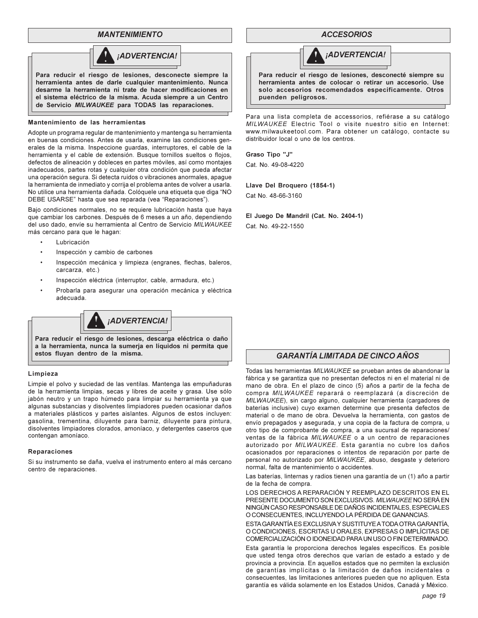## **MANTENIMIENTO**



desarme la herramienta ni trate de hacer modificaciones en el sistema eléctrico de la misma. Acuda siempre a un Centro de Servicio MILWAUKEE para TODAS las reparaciones.

#### Mantenimiento de las herramientas

Adopte un programa regular de mantenimiento y mantenga su herramienta en buenas condiciones. Antes de usarla, examine las condiciones generales de la misma. Inspeccione guardas, interruptores, el cable de la herramienta y el cable de extensión. Busque tornillos sueltos o flojos, defectos de alineación y dobleces en partes móviles, así como montajes inadecuados, partes rotas y cualquier otra condición que pueda afectar una operación segura. Si detecta ruidos o vibraciones anormales, apaque la herramienta de inmediato y corrija el problema antes de volver a usarla. No utilice una herramienta dañada. Colóquele una etiqueta que diga "NO DEBE USARSE" hasta que sea reparada (vea "Reparaciones").

Bajo condiciones normales, no se requiere lubricación hasta que haya que cambiar los carbones. Después de 6 meses a un año, dependiendo del uso dado, envíe su herramienta al Centro de Servicio MILWAUKEE más cercano para que le hagan:

- Lubricación
- Inspección y cambio de carbones
- Inspección mecánica y limpieza (engranes, flechas, baleros, carcarza, etc.)
- Inspección eléctrica (interruptor, cable, armadura, etc.)
- Probarla para asegurar una operación mecánica y eléctrica adecuada.



#### Limpieza

Limpie el polvo y suciedad de las ventilas. Mantenga las empuñaduras de la herramienta limpias, secas y libres de aceite y grasa. Use sólo jabón neutro y un trapo húmedo para limpiar su herramienta ya que algunas substancias y disolventes limpiadores pueden ocasionar daños a materiales plásticos y partes aislantes. Algunos de estos incluyen: gasolina, trementina, diluyente para barniz, diluyente para pintura, disolventes limpiadores clorados, amoníaco, y detergentes caseros que contengan amoníaco.

#### Reparaciones

Si su instrumento se daña, vuelva el instrumento entero al más cercano centro de reparaciones.

#### **ACCESORIOS**



Para reducir el riesgo de lesiones, desconecté siempre su herramienta antes de colocar o retirar un accesorio. Use solo accesorios recomendados específicamente. Otros puenden peligrosos.

Para una lista completa de accessorios, refiérase a su catálogo MILWAUKEE Electric Tool o visite nuestro sitio en Internet: www.milwaukeetool.com. Para obtener un catálogo, contacte su distribuidor local o uno de los centros.

Graso Tipo "J" Cat. No. 49-08-4220

#### Llave Del Broquero (1854-1)

Cat No. 48-66-3160

El Juego De Mandril (Cat. No. 2404-1) Cat. No. 49-22-1550

# **GARANTÍA LIMITADA DE CINCO AÑOS**

Todas las herramientas MILWAUKEE se prueban antes de abandonar la fábrica y se garantiza que no presentan defectos ni en el material ni de mano de obra. En el plazo de cinco (5) años a partir de la fecha de compra MILWAUKEE reparará o reemplazará (a discreción de MILWAUKEE), sin cargo alguno, cualquier herramienta (cargadores de baterías inclusive) cuyo examen determine que presenta defectos de material o de mano de obra. Devuelva la herramienta, con gastos de envío prepagados y asegurada, y una copia de la factura de compra, u otro tipo de comprobante de compra, a una sucursal de reparaciones/ ventas de la fábrica MILWAUKEE o a un centro de reparaciones autorizado por MILWAUKEE. Esta garantía no cubre los daños ocasionados por reparaciones o intentos de reparación por parte de personal no autorizado por MILWAUKEE, abuso, desgaste y deterioro normal, falta de mantenimiento o accidentes.

Las baterías, linternas y radios tienen una garantía de un (1) año a partir de la fecha de compra.

LOS DERECHOS A REPARACIÓN Y REEMPLAZO DESCRITOS EN EL PRESENTE DOCUMENTO SON EXCLUSIVOS. MILWAUKEE NO SERÁ EN NINGÚN CASO RESPONSABLE DE DAÑOS INCIDENTALES, ESPECIALES O CONSECUENTES, INCLUYENDO LA PÉRDIDA DE GANANCIAS.

ESTA GARANTÍA ES EXCLUSIVA Y SUSTITUYE A TODA OTRA GARANTÍA, O CONDICIONES, ESCRITAS U ORALES, EXPRESAS O IMPLÍCITAS DE COMERCIALIZACIÓN O IDONEIDAD PARA UN USO O FIN DETERMINADO.

Esta garantía le proporciona derechos legales específicos. Es posible que usted tenga otros derechos que varían de estado a estado y de provincia a provincia. En aquellos estados que no permiten la exclusión de garantías implícitas o la limitación de daños incidentales o consecuentes, las limitaciones anteriores pueden que no apliquen. Esta garantía es válida solamente en los Estados Unidos, Canadá y México.